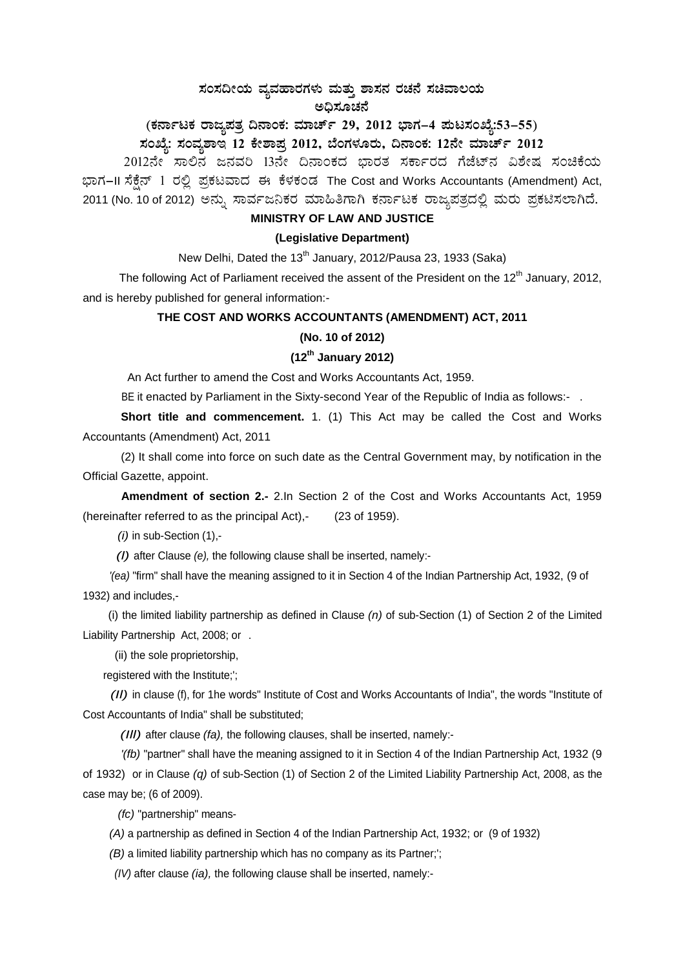# ಸಂಸದೀಯ ವ್ಯವಹಾರಗಳು ಮತ್ತು ಶಾಸನ ರಚನೆ ಸಚಿವಾಲಯ ಅದಿಸೂಚನೆ

# (ಕರ್ನಾಟಕ ರಾಜ್ಯಪತ್ರ ದಿನಾಂಕ: ಮಾರ್ಚ್ 29, 2012 ಭಾಗ–4 ಪುಟಸಂಖ್ಯೆ:53–55) ಸಂಖ್ಯೆ: ಸಂವ್ಯಶಾಇ 12 ಕೇಶಾಪ್ತ 2012, ಬೆಂಗಳೂರು, ದಿನಾಂಕ: 12ನೇ ಮಾರ್ಚ್ 2012

2012ನೇ ಸಾಲಿನ ಜನವರಿ 13ನೇ ದಿನಾಂಕದ ಭಾರತ ಸರ್ಕಾರದ ಗೆಜೆಟ್ನ ವಿಶೇಷ ಸಂಚಿಕೆಯ ಭಾಗ-II ಸೆಕ್ಷೆನ್ 1 ರಲ್ಲಿ ಪ್ರಕಟವಾದ ಈ ಕೆಳಕಂಡ The Cost and Works Accountants (Amendment) Act, 2011 (No. 10 of 2012) ಅನ್ನು ಸಾರ್ವಜನಿಕರ ಮಾಹಿತಿಗಾಗಿ ಕರ್ನಾಟಕ ರಾಜ್ಯಪತ್ರದಲ್ಲಿ ಮರು ಪ್ರಕಟಿಸಲಾಗಿದೆ.

### MINISTRY OF LAW AND JUSTICE

### (Legislative Department)

New Delhi, Dated the 13<sup>th</sup> January, 2012/Pausa 23, 1933 (Saka)

The following Act of Parliament received the assent of the President on the 12<sup>th</sup> January, 2012, and is hereby published for general information:-

#### THE COST AND WORKS ACCOUNTANTS (AMENDMENT) ACT, 2011

# (No. 10 of 2012)

# $(12^{th}$  January 2012)

An Act further to amend the Cost and Works Accountants Act, 1959.

BE it enacted by Parliament in the Sixty-second Year of the Republic of India as follows:-.

Short title and commencement. 1. (1) This Act may be called the Cost and Works Accountants (Amendment) Act, 2011

(2) It shall come into force on such date as the Central Government may, by notification in the Official Gazette, appoint.

Amendment of section 2.- 2.In Section 2 of the Cost and Works Accountants Act, 1959 (hereinafter referred to as the principal Act),-(23 of 1959).

 $(i)$  in sub-Section  $(1)$ ,-

(I) after Clause (e), the following clause shall be inserted, namely:-

'(ea) "firm" shall have the meaning assigned to it in Section 4 of the Indian Partnership Act, 1932, (9 of 1932) and includes,-

(i) the limited liability partnership as defined in Clause  $(n)$  of sub-Section (1) of Section 2 of the Limited Liability Partnership Act, 2008; or .

(ii) the sole proprietorship,

registered with the Institute;';

(II) in clause (f), for 1he words" Institute of Cost and Works Accountants of India", the words "Institute of Cost Accountants of India" shall be substituted;

(III) after clause (fa), the following clauses, shall be inserted, namely:-

'(fb) "partner" shall have the meaning assigned to it in Section 4 of the Indian Partnership Act, 1932 (9) of 1932) or in Clause  $(q)$  of sub-Section (1) of Section 2 of the Limited Liability Partnership Act, 2008, as the case may be; (6 of 2009).

(fc) "partnership" means-

(A) a partnership as defined in Section 4 of the Indian Partnership Act, 1932; or (9 of 1932)

(B) a limited liability partnership which has no company as its Partner;";

(IV) after clause (ia), the following clause shall be inserted, namely:-